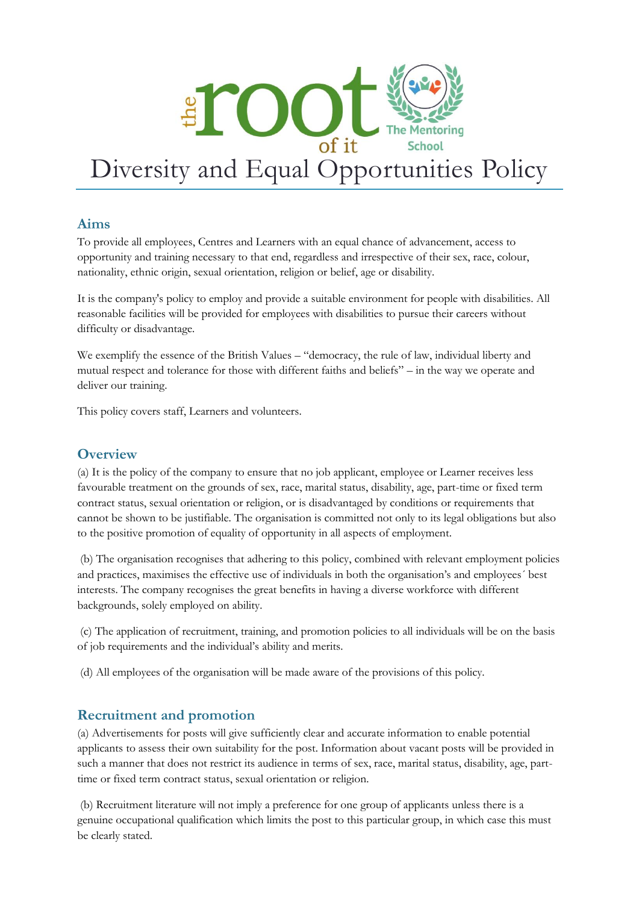

# **Aims**

To provide all employees, Centres and Learners with an equal chance of advancement, access to opportunity and training necessary to that end, regardless and irrespective of their sex, race, colour, nationality, ethnic origin, sexual orientation, religion or belief, age or disability.

It is the company's policy to employ and provide a suitable environment for people with disabilities. All reasonable facilities will be provided for employees with disabilities to pursue their careers without difficulty or disadvantage.

We exemplify the essence of the British Values – "democracy, the rule of law, individual liberty and mutual respect and tolerance for those with different faiths and beliefs" – in the way we operate and deliver our training.

This policy covers staff, Learners and volunteers.

# **Overview**

(a) It is the policy of the company to ensure that no job applicant, employee or Learner receives less favourable treatment on the grounds of sex, race, marital status, disability, age, part-time or fixed term contract status, sexual orientation or religion, or is disadvantaged by conditions or requirements that cannot be shown to be justifiable. The organisation is committed not only to its legal obligations but also to the positive promotion of equality of opportunity in all aspects of employment.

(b) The organisation recognises that adhering to this policy, combined with relevant employment policies and practices, maximises the effective use of individuals in both the organisation's and employees´ best interests. The company recognises the great benefits in having a diverse workforce with different backgrounds, solely employed on ability.

(c) The application of recruitment, training, and promotion policies to all individuals will be on the basis of job requirements and the individual's ability and merits.

(d) All employees of the organisation will be made aware of the provisions of this policy.

# **Recruitment and promotion**

(a) Advertisements for posts will give sufficiently clear and accurate information to enable potential applicants to assess their own suitability for the post. Information about vacant posts will be provided in such a manner that does not restrict its audience in terms of sex, race, marital status, disability, age, parttime or fixed term contract status, sexual orientation or religion.

(b) Recruitment literature will not imply a preference for one group of applicants unless there is a genuine occupational qualification which limits the post to this particular group, in which case this must be clearly stated.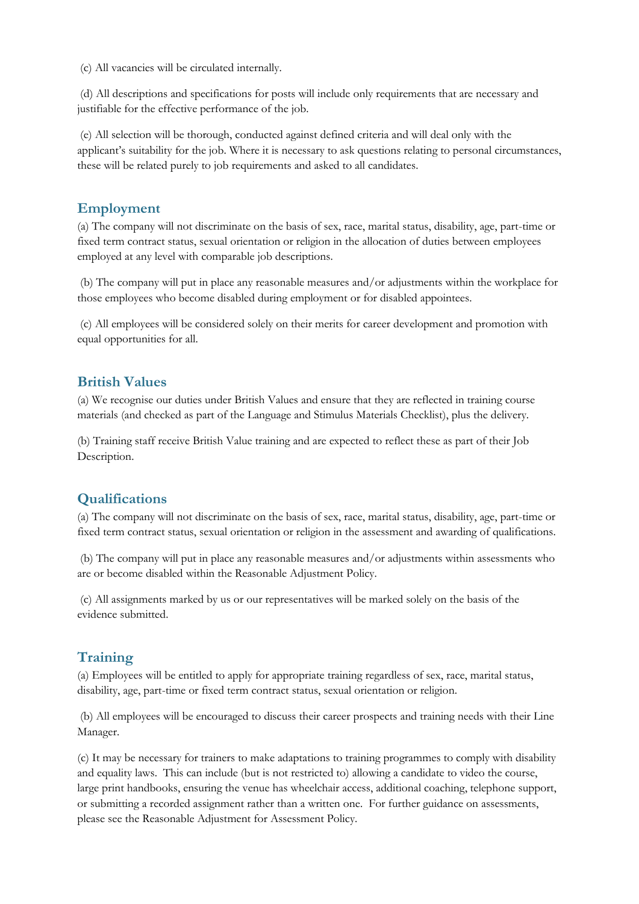(c) All vacancies will be circulated internally.

(d) All descriptions and specifications for posts will include only requirements that are necessary and justifiable for the effective performance of the job.

(e) All selection will be thorough, conducted against defined criteria and will deal only with the applicant's suitability for the job. Where it is necessary to ask questions relating to personal circumstances, these will be related purely to job requirements and asked to all candidates.

#### **Employment**

(a) The company will not discriminate on the basis of sex, race, marital status, disability, age, part-time or fixed term contract status, sexual orientation or religion in the allocation of duties between employees employed at any level with comparable job descriptions.

(b) The company will put in place any reasonable measures and/or adjustments within the workplace for those employees who become disabled during employment or for disabled appointees.

(c) All employees will be considered solely on their merits for career development and promotion with equal opportunities for all.

### **British Values**

(a) We recognise our duties under British Values and ensure that they are reflected in training course materials (and checked as part of the Language and Stimulus Materials Checklist), plus the delivery.

(b) Training staff receive British Value training and are expected to reflect these as part of their Job Description.

#### **Qualifications**

(a) The company will not discriminate on the basis of sex, race, marital status, disability, age, part-time or fixed term contract status, sexual orientation or religion in the assessment and awarding of qualifications.

(b) The company will put in place any reasonable measures and/or adjustments within assessments who are or become disabled within the Reasonable Adjustment Policy.

(c) All assignments marked by us or our representatives will be marked solely on the basis of the evidence submitted.

#### **Training**

(a) Employees will be entitled to apply for appropriate training regardless of sex, race, marital status, disability, age, part-time or fixed term contract status, sexual orientation or religion.

(b) All employees will be encouraged to discuss their career prospects and training needs with their Line Manager.

(c) It may be necessary for trainers to make adaptations to training programmes to comply with disability and equality laws. This can include (but is not restricted to) allowing a candidate to video the course, large print handbooks, ensuring the venue has wheelchair access, additional coaching, telephone support, or submitting a recorded assignment rather than a written one. For further guidance on assessments, please see the Reasonable Adjustment for Assessment Policy.